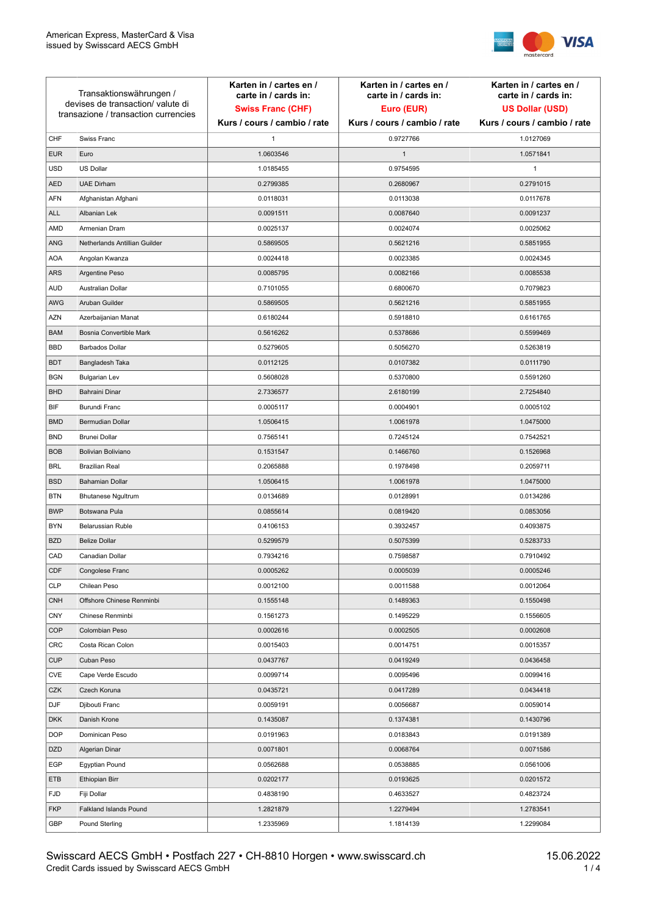

| Transaktionswährungen /<br>devises de transaction/valute di<br>transazione / transaction currencies |                               | Karten in / cartes en /<br>carte in / cards in:<br><b>Swiss Franc (CHF)</b> | Karten in / cartes en /<br>carte in / cards in:<br>Euro (EUR) | Karten in / cartes en /<br>carte in / cards in:<br><b>US Dollar (USD)</b> |
|-----------------------------------------------------------------------------------------------------|-------------------------------|-----------------------------------------------------------------------------|---------------------------------------------------------------|---------------------------------------------------------------------------|
|                                                                                                     |                               | Kurs / cours / cambio / rate                                                | Kurs / cours / cambio / rate                                  | Kurs / cours / cambio / rate                                              |
| CHF                                                                                                 | Swiss Franc                   | 1                                                                           | 0.9727766                                                     | 1.0127069                                                                 |
| <b>EUR</b>                                                                                          | Euro                          | 1.0603546                                                                   | $\mathbf{1}$                                                  | 1.0571841                                                                 |
| <b>USD</b>                                                                                          | US Dollar                     | 1.0185455                                                                   | 0.9754595                                                     | $\mathbf{1}$                                                              |
| <b>AED</b>                                                                                          | <b>UAE Dirham</b>             | 0.2799385                                                                   | 0.2680967                                                     | 0.2791015                                                                 |
| <b>AFN</b>                                                                                          | Afghanistan Afghani           | 0.0118031                                                                   | 0.0113038                                                     | 0.0117678                                                                 |
| ALL                                                                                                 | Albanian Lek                  | 0.0091511                                                                   | 0.0087640                                                     | 0.0091237                                                                 |
| AMD                                                                                                 | Armenian Dram                 | 0.0025137                                                                   | 0.0024074                                                     | 0.0025062                                                                 |
| ANG                                                                                                 | Netherlands Antillian Guilder | 0.5869505                                                                   | 0.5621216                                                     | 0.5851955                                                                 |
| <b>AOA</b>                                                                                          | Angolan Kwanza                | 0.0024418                                                                   | 0.0023385                                                     | 0.0024345                                                                 |
| ARS                                                                                                 | Argentine Peso                | 0.0085795                                                                   | 0.0082166                                                     | 0.0085538                                                                 |
| <b>AUD</b>                                                                                          | Australian Dollar             | 0.7101055                                                                   | 0.6800670                                                     | 0.7079823                                                                 |
| AWG                                                                                                 | Aruban Guilder                | 0.5869505                                                                   | 0.5621216                                                     | 0.5851955                                                                 |
| AZN                                                                                                 | Azerbaijanian Manat           | 0.6180244                                                                   | 0.5918810                                                     | 0.6161765                                                                 |
| <b>BAM</b>                                                                                          | Bosnia Convertible Mark       | 0.5616262                                                                   | 0.5378686                                                     | 0.5599469                                                                 |
| <b>BBD</b>                                                                                          | <b>Barbados Dollar</b>        | 0.5279605                                                                   | 0.5056270                                                     | 0.5263819                                                                 |
| <b>BDT</b>                                                                                          | Bangladesh Taka               | 0.0112125                                                                   | 0.0107382                                                     | 0.0111790                                                                 |
| <b>BGN</b>                                                                                          | <b>Bulgarian Lev</b>          | 0.5608028                                                                   | 0.5370800                                                     | 0.5591260                                                                 |
| <b>BHD</b>                                                                                          | Bahraini Dinar                | 2.7336577                                                                   | 2.6180199                                                     | 2.7254840                                                                 |
| BIF                                                                                                 | Burundi Franc                 | 0.0005117                                                                   | 0.0004901                                                     | 0.0005102                                                                 |
| <b>BMD</b>                                                                                          | Bermudian Dollar              | 1.0506415                                                                   | 1.0061978                                                     | 1.0475000                                                                 |
| <b>BND</b>                                                                                          | <b>Brunei Dollar</b>          | 0.7565141                                                                   | 0.7245124                                                     | 0.7542521                                                                 |
| <b>BOB</b>                                                                                          | Bolivian Boliviano            | 0.1531547                                                                   | 0.1466760                                                     | 0.1526968                                                                 |
| <b>BRL</b>                                                                                          | <b>Brazilian Real</b>         | 0.2065888                                                                   | 0.1978498                                                     | 0.2059711                                                                 |
| <b>BSD</b>                                                                                          | <b>Bahamian Dollar</b>        | 1.0506415                                                                   | 1.0061978                                                     | 1.0475000                                                                 |
| <b>BTN</b>                                                                                          | <b>Bhutanese Ngultrum</b>     | 0.0134689                                                                   | 0.0128991                                                     | 0.0134286                                                                 |
| <b>BWP</b>                                                                                          | Botswana Pula                 | 0.0855614                                                                   | 0.0819420                                                     | 0.0853056                                                                 |
| <b>BYN</b>                                                                                          | Belarussian Ruble             | 0.4106153                                                                   | 0.3932457                                                     | 0.4093875                                                                 |
| <b>BZD</b>                                                                                          | <b>Belize Dollar</b>          | 0.5299579                                                                   | 0.5075399                                                     | 0.5283733                                                                 |
| CAD                                                                                                 | Canadian Dollar               | 0.7934216                                                                   | 0.7598587                                                     | 0.7910492                                                                 |
| CDF                                                                                                 | Congolese Franc               | 0.0005262                                                                   | 0.0005039                                                     | 0.0005246                                                                 |
| <b>CLP</b>                                                                                          | Chilean Peso                  | 0.0012100                                                                   | 0.0011588                                                     | 0.0012064                                                                 |
| <b>CNH</b>                                                                                          | Offshore Chinese Renminbi     | 0.1555148                                                                   | 0.1489363                                                     | 0.1550498                                                                 |
| <b>CNY</b>                                                                                          | Chinese Renminbi              | 0.1561273                                                                   | 0.1495229                                                     | 0.1556605                                                                 |
| <b>COP</b>                                                                                          | Colombian Peso                | 0.0002616                                                                   | 0.0002505                                                     | 0.0002608                                                                 |
| CRC                                                                                                 | Costa Rican Colon             | 0.0015403                                                                   | 0.0014751                                                     | 0.0015357                                                                 |
| <b>CUP</b>                                                                                          | Cuban Peso                    | 0.0437767                                                                   | 0.0419249                                                     | 0.0436458                                                                 |
| CVE                                                                                                 | Cape Verde Escudo             | 0.0099714                                                                   | 0.0095496                                                     | 0.0099416                                                                 |
| CZK                                                                                                 | Czech Koruna                  | 0.0435721                                                                   | 0.0417289                                                     | 0.0434418                                                                 |
| <b>DJF</b>                                                                                          | Djibouti Franc                | 0.0059191                                                                   | 0.0056687                                                     | 0.0059014                                                                 |
| <b>DKK</b>                                                                                          | Danish Krone                  | 0.1435087                                                                   | 0.1374381                                                     | 0.1430796                                                                 |
| <b>DOP</b>                                                                                          | Dominican Peso                | 0.0191963                                                                   | 0.0183843                                                     | 0.0191389                                                                 |
| <b>DZD</b>                                                                                          | Algerian Dinar                | 0.0071801                                                                   | 0.0068764                                                     | 0.0071586                                                                 |
| EGP                                                                                                 | Egyptian Pound                | 0.0562688                                                                   | 0.0538885                                                     | 0.0561006                                                                 |
| ETB                                                                                                 | Ethiopian Birr                | 0.0202177                                                                   | 0.0193625                                                     | 0.0201572                                                                 |
| <b>FJD</b>                                                                                          | Fiji Dollar                   | 0.4838190                                                                   | 0.4633527                                                     | 0.4823724                                                                 |
| <b>FKP</b>                                                                                          | Falkland Islands Pound        | 1.2821879                                                                   | 1.2279494                                                     | 1.2783541                                                                 |
| GBP                                                                                                 | Pound Sterling                | 1.2335969                                                                   | 1.1814139                                                     | 1.2299084                                                                 |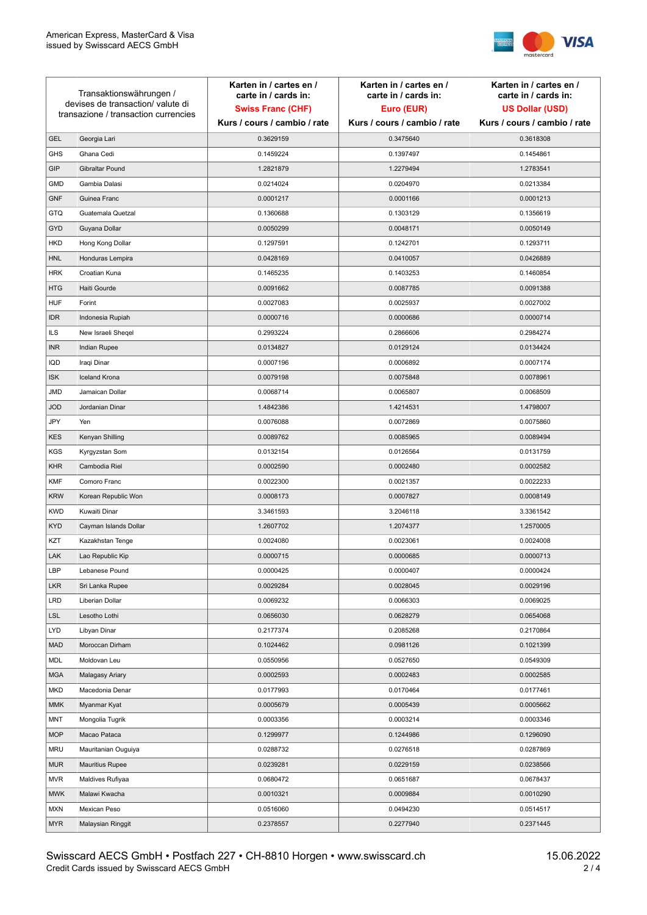

| Transaktionswährungen /<br>devises de transaction/valute di<br>transazione / transaction currencies |                        | Karten in / cartes en /<br>carte in / cards in: | Karten in / cartes en /<br>carte in / cards in: | Karten in / cartes en /<br>carte in / cards in: |
|-----------------------------------------------------------------------------------------------------|------------------------|-------------------------------------------------|-------------------------------------------------|-------------------------------------------------|
|                                                                                                     |                        | <b>Swiss Franc (CHF)</b>                        | Euro (EUR)                                      | <b>US Dollar (USD)</b>                          |
|                                                                                                     |                        | Kurs / cours / cambio / rate                    | Kurs / cours / cambio / rate                    | Kurs / cours / cambio / rate                    |
| <b>GEL</b>                                                                                          | Georgia Lari           | 0.3629159                                       | 0.3475640                                       | 0.3618308                                       |
| <b>GHS</b>                                                                                          | Ghana Cedi             | 0.1459224                                       | 0.1397497                                       | 0.1454861                                       |
| GIP                                                                                                 | Gibraltar Pound        | 1.2821879                                       | 1.2279494                                       | 1.2783541                                       |
| <b>GMD</b>                                                                                          | Gambia Dalasi          | 0.0214024                                       | 0.0204970                                       | 0.0213384                                       |
| <b>GNF</b>                                                                                          | Guinea Franc           | 0.0001217                                       | 0.0001166                                       | 0.0001213                                       |
| <b>GTQ</b>                                                                                          | Guatemala Quetzal      | 0.1360688                                       | 0.1303129                                       | 0.1356619                                       |
| GYD                                                                                                 | Guyana Dollar          | 0.0050299                                       | 0.0048171                                       | 0.0050149                                       |
| HKD                                                                                                 | Hong Kong Dollar       | 0.1297591                                       | 0.1242701                                       | 0.1293711                                       |
| <b>HNL</b>                                                                                          | Honduras Lempira       | 0.0428169                                       | 0.0410057                                       | 0.0426889                                       |
| <b>HRK</b>                                                                                          | Croatian Kuna          | 0.1465235                                       | 0.1403253                                       | 0.1460854                                       |
| <b>HTG</b>                                                                                          | Haiti Gourde           | 0.0091662                                       | 0.0087785                                       | 0.0091388                                       |
| <b>HUF</b>                                                                                          | Forint                 | 0.0027083                                       | 0.0025937                                       | 0.0027002                                       |
| <b>IDR</b>                                                                                          | Indonesia Rupiah       | 0.0000716                                       | 0.0000686                                       | 0.0000714                                       |
| <b>ILS</b>                                                                                          | New Israeli Sheqel     | 0.2993224                                       | 0.2866606                                       | 0.2984274                                       |
| <b>INR</b>                                                                                          | Indian Rupee           | 0.0134827                                       | 0.0129124                                       | 0.0134424                                       |
| IQD                                                                                                 | Iraqi Dinar            | 0.0007196                                       | 0.0006892                                       | 0.0007174                                       |
| <b>ISK</b>                                                                                          | <b>Iceland Krona</b>   | 0.0079198                                       | 0.0075848                                       | 0.0078961                                       |
| <b>JMD</b>                                                                                          | Jamaican Dollar        | 0.0068714                                       | 0.0065807                                       | 0.0068509                                       |
| <b>JOD</b>                                                                                          | Jordanian Dinar        | 1.4842386                                       | 1.4214531                                       | 1.4798007                                       |
| JPY                                                                                                 | Yen                    | 0.0076088                                       | 0.0072869                                       | 0.0075860                                       |
| <b>KES</b>                                                                                          | Kenyan Shilling        | 0.0089762                                       | 0.0085965                                       | 0.0089494                                       |
| <b>KGS</b>                                                                                          | Kyrgyzstan Som         | 0.0132154                                       | 0.0126564                                       | 0.0131759                                       |
| <b>KHR</b>                                                                                          | Cambodia Riel          | 0.0002590                                       | 0.0002480                                       | 0.0002582                                       |
| <b>KMF</b>                                                                                          | Comoro Franc           | 0.0022300                                       | 0.0021357                                       | 0.0022233                                       |
| <b>KRW</b>                                                                                          | Korean Republic Won    | 0.0008173                                       | 0.0007827                                       | 0.0008149                                       |
| <b>KWD</b>                                                                                          | Kuwaiti Dinar          | 3.3461593                                       | 3.2046118                                       | 3.3361542                                       |
| <b>KYD</b>                                                                                          | Cayman Islands Dollar  | 1.2607702                                       | 1.2074377                                       | 1.2570005                                       |
| KZT                                                                                                 | Kazakhstan Tenge       | 0.0024080                                       | 0.0023061                                       | 0.0024008                                       |
| LAK                                                                                                 | Lao Republic Kip       | 0.0000715                                       | 0.0000685                                       | 0.0000713                                       |
| LBP                                                                                                 | Lebanese Pound         | 0.0000425                                       | 0.0000407                                       | 0.0000424                                       |
| <b>LKR</b>                                                                                          | Sri Lanka Rupee        | 0.0029284                                       | 0.0028045                                       | 0.0029196                                       |
| <b>LRD</b>                                                                                          | Liberian Dollar        | 0.0069232                                       | 0.0066303                                       | 0.0069025                                       |
| <b>LSL</b>                                                                                          | Lesotho Lothi          | 0.0656030                                       | 0.0628279                                       | 0.0654068                                       |
| LYD                                                                                                 | Libyan Dinar           | 0.2177374                                       | 0.2085268                                       | 0.2170864                                       |
| <b>MAD</b>                                                                                          | Moroccan Dirham        | 0.1024462                                       | 0.0981126                                       | 0.1021399                                       |
| MDL                                                                                                 | Moldovan Leu           | 0.0550956                                       | 0.0527650                                       | 0.0549309                                       |
| <b>MGA</b>                                                                                          | Malagasy Ariary        | 0.0002593                                       | 0.0002483                                       | 0.0002585                                       |
| MKD                                                                                                 | Macedonia Denar        | 0.0177993                                       | 0.0170464                                       | 0.0177461                                       |
| <b>MMK</b>                                                                                          | Myanmar Kyat           | 0.0005679                                       | 0.0005439                                       | 0.0005662                                       |
| <b>MNT</b>                                                                                          | Mongolia Tugrik        | 0.0003356                                       | 0.0003214                                       | 0.0003346                                       |
| <b>MOP</b>                                                                                          | Macao Pataca           | 0.1299977                                       | 0.1244986                                       | 0.1296090                                       |
| <b>MRU</b>                                                                                          | Mauritanian Ouguiya    | 0.0288732                                       | 0.0276518                                       | 0.0287869                                       |
| <b>MUR</b>                                                                                          | <b>Mauritius Rupee</b> | 0.0239281                                       | 0.0229159                                       | 0.0238566                                       |
| <b>MVR</b>                                                                                          | Maldives Rufiyaa       | 0.0680472                                       | 0.0651687                                       | 0.0678437                                       |
| <b>MWK</b>                                                                                          | Malawi Kwacha          | 0.0010321                                       | 0.0009884                                       | 0.0010290                                       |
| <b>MXN</b>                                                                                          | Mexican Peso           | 0.0516060                                       | 0.0494230                                       | 0.0514517                                       |
| <b>MYR</b>                                                                                          | Malaysian Ringgit      | 0.2378557                                       | 0.2277940                                       | 0.2371445                                       |
|                                                                                                     |                        |                                                 |                                                 |                                                 |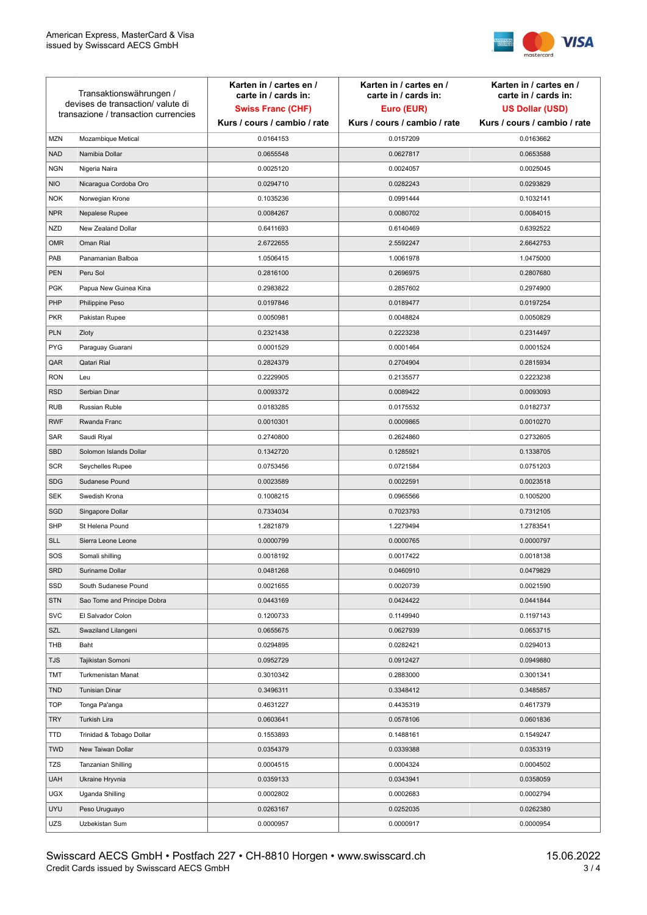

| Transaktionswährungen /<br>devises de transaction/valute di<br>transazione / transaction currencies |                             | Karten in / cartes en /<br>carte in / cards in:<br><b>Swiss Franc (CHF)</b> | Karten in / cartes en /<br>carte in / cards in:<br>Euro (EUR) | Karten in / cartes en /<br>carte in / cards in:<br><b>US Dollar (USD)</b> |
|-----------------------------------------------------------------------------------------------------|-----------------------------|-----------------------------------------------------------------------------|---------------------------------------------------------------|---------------------------------------------------------------------------|
|                                                                                                     |                             | Kurs / cours / cambio / rate                                                | Kurs / cours / cambio / rate                                  | Kurs / cours / cambio / rate                                              |
| <b>MZN</b>                                                                                          | Mozambique Metical          | 0.0164153                                                                   | 0.0157209                                                     | 0.0163662                                                                 |
| <b>NAD</b>                                                                                          | Namibia Dollar              | 0.0655548                                                                   | 0.0627817                                                     | 0.0653588                                                                 |
| <b>NGN</b>                                                                                          | Nigeria Naira               | 0.0025120                                                                   | 0.0024057                                                     | 0.0025045                                                                 |
| <b>NIO</b>                                                                                          | Nicaragua Cordoba Oro       | 0.0294710                                                                   | 0.0282243                                                     | 0.0293829                                                                 |
| <b>NOK</b>                                                                                          | Norwegian Krone             | 0.1035236                                                                   | 0.0991444                                                     | 0.1032141                                                                 |
| <b>NPR</b>                                                                                          | Nepalese Rupee              | 0.0084267                                                                   | 0.0080702                                                     | 0.0084015                                                                 |
| <b>NZD</b>                                                                                          | New Zealand Dollar          | 0.6411693                                                                   | 0.6140469                                                     | 0.6392522                                                                 |
| <b>OMR</b>                                                                                          | Oman Rial                   | 2.6722655                                                                   | 2.5592247                                                     | 2.6642753                                                                 |
| PAB                                                                                                 | Panamanian Balboa           | 1.0506415                                                                   | 1.0061978                                                     | 1.0475000                                                                 |
| PEN                                                                                                 | Peru Sol                    | 0.2816100                                                                   | 0.2696975                                                     | 0.2807680                                                                 |
| <b>PGK</b>                                                                                          | Papua New Guinea Kina       | 0.2983822                                                                   | 0.2857602                                                     | 0.2974900                                                                 |
| PHP                                                                                                 | Philippine Peso             | 0.0197846                                                                   | 0.0189477                                                     | 0.0197254                                                                 |
| <b>PKR</b>                                                                                          | Pakistan Rupee              | 0.0050981                                                                   | 0.0048824                                                     | 0.0050829                                                                 |
| <b>PLN</b>                                                                                          | Zloty                       | 0.2321438                                                                   | 0.2223238                                                     | 0.2314497                                                                 |
| <b>PYG</b>                                                                                          | Paraguay Guarani            | 0.0001529                                                                   | 0.0001464                                                     | 0.0001524                                                                 |
| QAR                                                                                                 | Qatari Rial                 | 0.2824379                                                                   | 0.2704904                                                     | 0.2815934                                                                 |
| <b>RON</b>                                                                                          | Leu                         | 0.2229905                                                                   | 0.2135577                                                     | 0.2223238                                                                 |
| <b>RSD</b>                                                                                          | Serbian Dinar               | 0.0093372                                                                   | 0.0089422                                                     | 0.0093093                                                                 |
| <b>RUB</b>                                                                                          | <b>Russian Ruble</b>        | 0.0183285                                                                   | 0.0175532                                                     | 0.0182737                                                                 |
| <b>RWF</b>                                                                                          | Rwanda Franc                | 0.0010301                                                                   | 0.0009865                                                     | 0.0010270                                                                 |
| SAR                                                                                                 | Saudi Riyal                 | 0.2740800                                                                   | 0.2624860                                                     | 0.2732605                                                                 |
| <b>SBD</b>                                                                                          | Solomon Islands Dollar      | 0.1342720                                                                   | 0.1285921                                                     | 0.1338705                                                                 |
| <b>SCR</b>                                                                                          | Seychelles Rupee            | 0.0753456                                                                   | 0.0721584                                                     | 0.0751203                                                                 |
| <b>SDG</b>                                                                                          | Sudanese Pound              | 0.0023589                                                                   | 0.0022591                                                     | 0.0023518                                                                 |
| <b>SEK</b>                                                                                          | Swedish Krona               | 0.1008215                                                                   | 0.0965566                                                     | 0.1005200                                                                 |
| SGD                                                                                                 | Singapore Dollar            | 0.7334034                                                                   | 0.7023793                                                     | 0.7312105                                                                 |
| <b>SHP</b>                                                                                          | St Helena Pound             | 1.2821879                                                                   | 1.2279494                                                     | 1.2783541                                                                 |
| <b>SLL</b>                                                                                          | Sierra Leone Leone          | 0.0000799                                                                   | 0.0000765                                                     | 0.0000797                                                                 |
| SOS                                                                                                 | Somali shilling             | 0.0018192                                                                   | 0.0017422                                                     | 0.0018138                                                                 |
| <b>SRD</b>                                                                                          | Suriname Dollar             | 0.0481268                                                                   | 0.0460910                                                     | 0.0479829                                                                 |
| SSD                                                                                                 | South Sudanese Pound        | 0.0021655                                                                   | 0.0020739                                                     | 0.0021590                                                                 |
| <b>STN</b>                                                                                          | Sao Tome and Principe Dobra | 0.0443169                                                                   | 0.0424422                                                     | 0.0441844                                                                 |
| <b>SVC</b>                                                                                          | El Salvador Colon           | 0.1200733                                                                   | 0.1149940                                                     | 0.1197143                                                                 |
| SZL                                                                                                 | Swaziland Lilangeni         | 0.0655675                                                                   | 0.0627939                                                     | 0.0653715                                                                 |
| THB                                                                                                 | Baht                        | 0.0294895                                                                   | 0.0282421                                                     | 0.0294013                                                                 |
| <b>TJS</b>                                                                                          | Tajikistan Somoni           | 0.0952729                                                                   | 0.0912427                                                     | 0.0949880                                                                 |
| TMT                                                                                                 | Turkmenistan Manat          | 0.3010342                                                                   | 0.2883000                                                     | 0.3001341                                                                 |
| <b>TND</b>                                                                                          | <b>Tunisian Dinar</b>       | 0.3496311                                                                   | 0.3348412                                                     | 0.3485857                                                                 |
| <b>TOP</b>                                                                                          | Tonga Pa'anga               | 0.4631227                                                                   | 0.4435319                                                     | 0.4617379                                                                 |
| <b>TRY</b>                                                                                          | Turkish Lira                | 0.0603641                                                                   | 0.0578106                                                     | 0.0601836                                                                 |
| TTD                                                                                                 | Trinidad & Tobago Dollar    | 0.1553893                                                                   | 0.1488161                                                     | 0.1549247                                                                 |
| <b>TWD</b>                                                                                          | New Taiwan Dollar           | 0.0354379                                                                   | 0.0339388                                                     | 0.0353319                                                                 |
| TZS                                                                                                 | Tanzanian Shilling          | 0.0004515                                                                   | 0.0004324                                                     | 0.0004502                                                                 |
| <b>UAH</b>                                                                                          | Ukraine Hryvnia             | 0.0359133                                                                   | 0.0343941                                                     | 0.0358059                                                                 |
| <b>UGX</b>                                                                                          | Uganda Shilling             | 0.0002802                                                                   | 0.0002683                                                     | 0.0002794                                                                 |
| <b>UYU</b>                                                                                          | Peso Uruguayo               | 0.0263167                                                                   | 0.0252035                                                     | 0.0262380                                                                 |
| UZS                                                                                                 | Uzbekistan Sum              | 0.0000957                                                                   | 0.0000917                                                     | 0.0000954                                                                 |